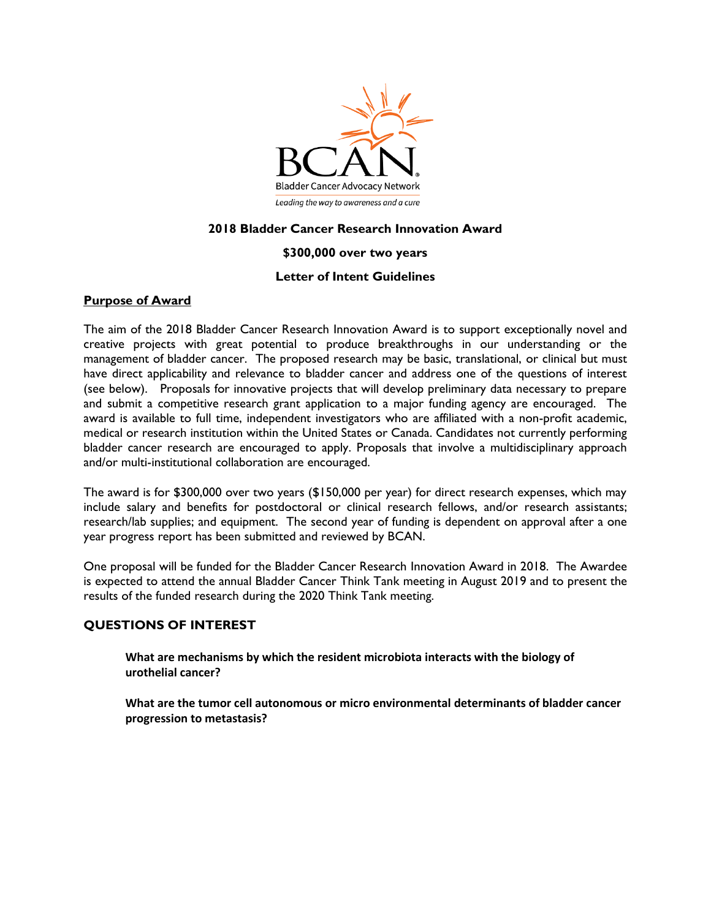

### **2018 Bladder Cancer Research Innovation Award**

### **\$300,000 over two years**

### **Letter of Intent Guidelines**

### **Purpose of Award**

The aim of the 2018 Bladder Cancer Research Innovation Award is to support exceptionally novel and creative projects with great potential to produce breakthroughs in our understanding or the management of bladder cancer. The proposed research may be basic, translational, or clinical but must have direct applicability and relevance to bladder cancer and address one of the questions of interest (see below). Proposals for innovative projects that will develop preliminary data necessary to prepare and submit a competitive research grant application to a major funding agency are encouraged. The award is available to full time, independent investigators who are affiliated with a non-profit academic, medical or research institution within the United States or Canada. Candidates not currently performing bladder cancer research are encouraged to apply. Proposals that involve a multidisciplinary approach and/or multi-institutional collaboration are encouraged.

The award is for \$300,000 over two years (\$150,000 per year) for direct research expenses, which may include salary and benefits for postdoctoral or clinical research fellows, and/or research assistants; research/lab supplies; and equipment. The second year of funding is dependent on approval after a one year progress report has been submitted and reviewed by BCAN.

One proposal will be funded for the Bladder Cancer Research Innovation Award in 2018. The Awardee is expected to attend the annual Bladder Cancer Think Tank meeting in August 2019 and to present the results of the funded research during the 2020 Think Tank meeting.

### **QUESTIONS OF INTEREST**

**What are mechanisms by which the resident microbiota interacts with the biology of urothelial cancer?**

**What are the tumor cell autonomous or micro environmental determinants of bladder cancer progression to metastasis?**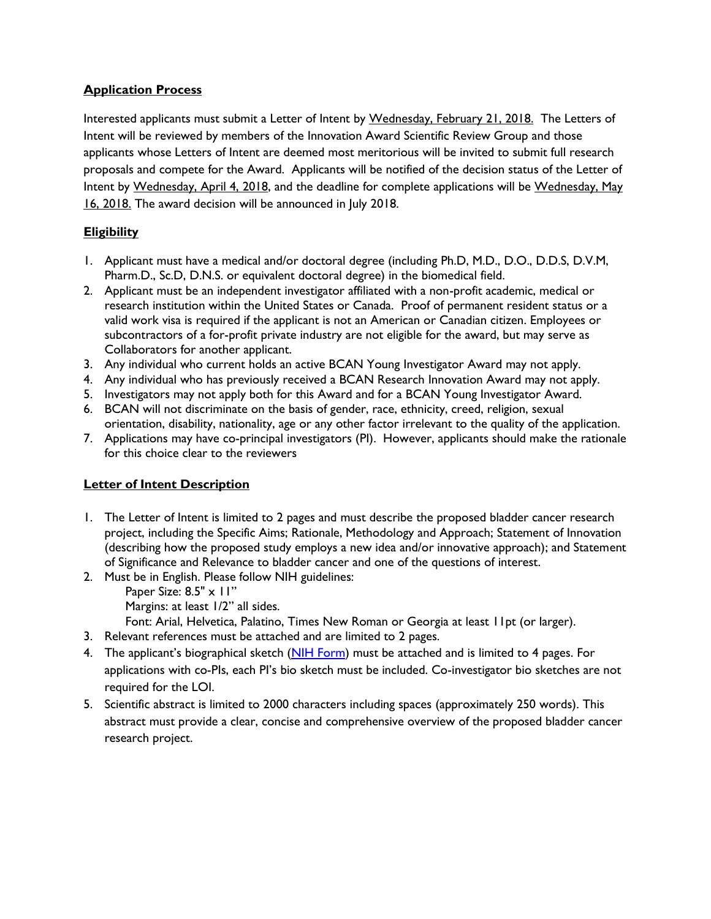## **Application Process**

Interested applicants must submit a Letter of Intent by Wednesday, February 21, 2018. The Letters of Intent will be reviewed by members of the Innovation Award Scientific Review Group and those applicants whose Letters of Intent are deemed most meritorious will be invited to submit full research proposals and compete for the Award. Applicants will be notified of the decision status of the Letter of Intent by Wednesday, April 4, 2018, and the deadline for complete applications will be Wednesday, May 16, 2018. The award decision will be announced in July 2018.

# **Eligibility**

- 1. Applicant must have a medical and/or doctoral degree (including Ph.D, M.D., D.O., D.D.S, D.V.M, Pharm.D., Sc.D, D.N.S. or equivalent doctoral degree) in the biomedical field.
- 2. Applicant must be an independent investigator affiliated with a non-profit academic, medical or research institution within the United States or Canada. Proof of permanent resident status or a valid work visa is required if the applicant is not an American or Canadian citizen. Employees or subcontractors of a for-profit private industry are not eligible for the award, but may serve as Collaborators for another applicant.
- 3. Any individual who current holds an active BCAN Young Investigator Award may not apply.
- 4. Any individual who has previously received a BCAN Research Innovation Award may not apply.
- 5. Investigators may not apply both for this Award and for a BCAN Young Investigator Award.
- 6. BCAN will not discriminate on the basis of gender, race, ethnicity, creed, religion, sexual orientation, disability, nationality, age or any other factor irrelevant to the quality of the application.
- 7. Applications may have co-principal investigators (PI). However, applicants should make the rationale for this choice clear to the reviewers

# **Letter of Intent Description**

- 1. The Letter of Intent is limited to 2 pages and must describe the proposed bladder cancer research project, including the Specific Aims; Rationale, Methodology and Approach; Statement of Innovation (describing how the proposed study employs a new idea and/or innovative approach); and Statement of Significance and Relevance to bladder cancer and one of the questions of interest.
- 2. Must be in English. Please follow NIH guidelines:
	- Paper Size: 8.5" x 11"
	- Margins: at least 1/2" all sides.
	- Font: Arial, Helvetica, Palatino, Times New Roman or Georgia at least 11pt (or larger).
- 3. Relevant references must be attached and are limited to 2 pages.
- 4. The applicant's biographical sketch [\(NIH Form\)](https://grants.nih.gov/grants/forms/biosketch.htm) must be attached and is limited to 4 pages. For applications with co-PIs, each PI's bio sketch must be included. Co-investigator bio sketches are not required for the LOI.
- 5. Scientific abstract is limited to 2000 characters including spaces (approximately 250 words). This abstract must provide a clear, concise and comprehensive overview of the proposed bladder cancer research project.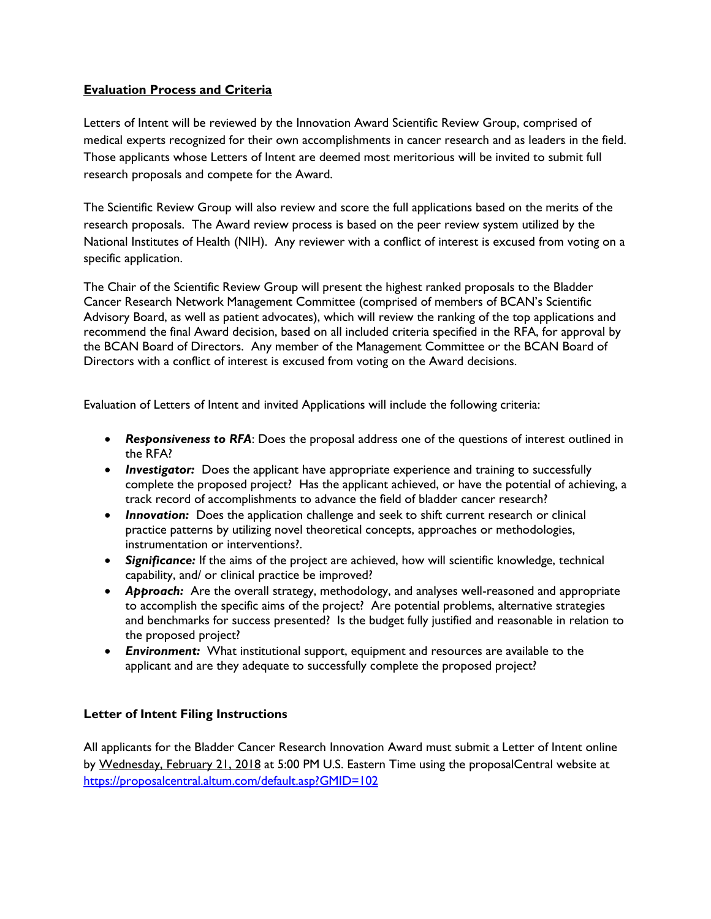### **Evaluation Process and Criteria**

Letters of Intent will be reviewed by the Innovation Award Scientific Review Group, comprised of medical experts recognized for their own accomplishments in cancer research and as leaders in the field. Those applicants whose Letters of Intent are deemed most meritorious will be invited to submit full research proposals and compete for the Award.

The Scientific Review Group will also review and score the full applications based on the merits of the research proposals. The Award review process is based on the peer review system utilized by the National Institutes of Health (NIH). Any reviewer with a conflict of interest is excused from voting on a specific application.

The Chair of the Scientific Review Group will present the highest ranked proposals to the Bladder Cancer Research Network Management Committee (comprised of members of BCAN's Scientific Advisory Board, as well as patient advocates), which will review the ranking of the top applications and recommend the final Award decision, based on all included criteria specified in the RFA, for approval by the BCAN Board of Directors. Any member of the Management Committee or the BCAN Board of Directors with a conflict of interest is excused from voting on the Award decisions.

Evaluation of Letters of Intent and invited Applications will include the following criteria:

- *Responsiveness to RFA*: Does the proposal address one of the questions of interest outlined in the RFA?
- *Investigator:* Does the applicant have appropriate experience and training to successfully complete the proposed project? Has the applicant achieved, or have the potential of achieving, a track record of accomplishments to advance the field of bladder cancer research?
- **Innovation:** Does the application challenge and seek to shift current research or clinical practice patterns by utilizing novel theoretical concepts, approaches or methodologies, instrumentation or interventions?.
- *Significance:* If the aims of the project are achieved, how will scientific knowledge, technical capability, and/ or clinical practice be improved?
- *Approach:* Are the overall strategy, methodology, and analyses well-reasoned and appropriate to accomplish the specific aims of the project? Are potential problems, alternative strategies and benchmarks for success presented? Is the budget fully justified and reasonable in relation to the proposed project?
- *Environment:* What institutional support, equipment and resources are available to the applicant and are they adequate to successfully complete the proposed project?

### **Letter of Intent Filing Instructions**

All applicants for the Bladder Cancer Research Innovation Award must submit a Letter of Intent online by Wednesday, February 21, 2018 at 5:00 PM U.S. Eastern Time using the proposalCentral website at <https://proposalcentral.altum.com/default.asp?GMID=102>